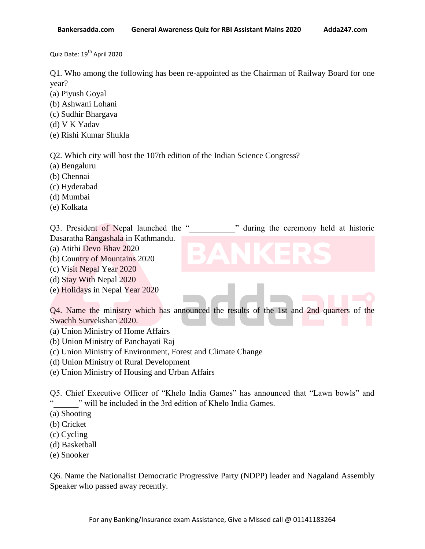Quiz Date: 19<sup>th</sup> April 2020

Q1. Who among the following has been re-appointed as the Chairman of Railway Board for one year?

- (a) Piyush Goyal
- (b) Ashwani Lohani
- (c) Sudhir Bhargava
- (d) V K Yadav
- (e) Rishi Kumar Shukla

Q2. Which city will host the 107th edition of the Indian Science Congress?

- (a) Bengaluru
- (b) Chennai
- (c) Hyderabad
- (d) Mumbai
- (e) Kolkata

Q3. President of Nepal launched the " will during the ceremony held at historic Dasaratha Rangashala in Kathmandu.

- 
- (a) Atithi Devo Bhav 2020
- (b) Country of Mountains 2020
- (c) Visit Nepal Year 2020
- (d) Stay With Nepal 2020
- (e) Holidays in Nepal Year 2020

Q4. Name the ministry which has announced the results of the 1st and 2nd quarters of the Swachh Survekshan 2020.

- (a) Union Ministry of Home Affairs
- (b) Union Ministry of Panchayati Raj
- (c) Union Ministry of Environment, Forest and Climate Change
- (d) Union Ministry of Rural Development
- (e) Union Ministry of Housing and Urban Affairs

Q5. Chief Executive Officer of "Khelo India Games" has announced that "Lawn bowls" and " will be included in the 3rd edition of Khelo India Games.

- (a) Shooting
- (b) Cricket
- (c) Cycling
- (d) Basketball
- (e) Snooker

Q6. Name the Nationalist Democratic Progressive Party (NDPP) leader and Nagaland Assembly Speaker who passed away recently.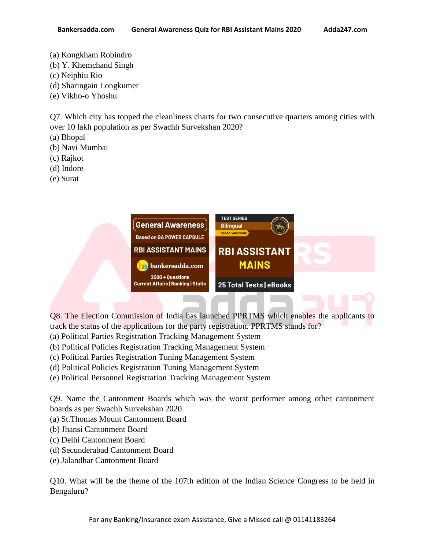- (a) Kongkham Robindro
- (b) Y. Khemchand Singh
- (c) Neiphiu Rio
- (d) Sharingain Longkumer
- (e) Vikho-o Yhoshu

Q7. Which city has topped the cleanliness charts for two consecutive quarters among cities with over 10 lakh population as per Swachh Survekshan 2020?

- (a) Bhopal
- (b) Navi Mumbai
- (c) Rajkot
- (d) Indore
- (e) Surat

| <b>General Awareness</b><br><b>Based on GA POWER CAPSULE</b>    | <b>TEST SERIES</b><br><b>Bilingual</b><br><b>Video Solutions</b> |  |
|-----------------------------------------------------------------|------------------------------------------------------------------|--|
| <b>RBI ASSISTANT MAINS</b>                                      | <b>RBI ASSISTANT</b>                                             |  |
| <b>a</b> bankersadda.com                                        | <b>MAINS</b>                                                     |  |
| $2500 + Questions$<br><b>Current Affairs   Banking   Static</b> | 25 Total Tests   eBooks                                          |  |
|                                                                 |                                                                  |  |

Q8. The Election Commission of India has launched PPRTMS which enables the applicants to track the status of the applications for the party registration. PPRTMS stands for?

- (a) Political Parties Registration Tracking Management System
- (b) Political Policies Registration Tracking Management System
- (c) Political Parties Registration Tuning Management System
- (d) Political Policies Registration Tuning Management System
- (e) Political Personnel Registration Tracking Management System

Q9. Name the Cantonment Boards which was the worst performer among other cantonment boards as per Swachh Survekshan 2020.

- (a) St.Thomas Mount Cantonment Board
- (b) Jhansi Cantonment Board
- (c) Delhi Cantonment Board
- (d) Secunderabad Cantonment Board
- (e) Jalandhar Cantonment Board

Q10. What will be the theme of the 107th edition of the Indian Science Congress to be held in Bengaluru?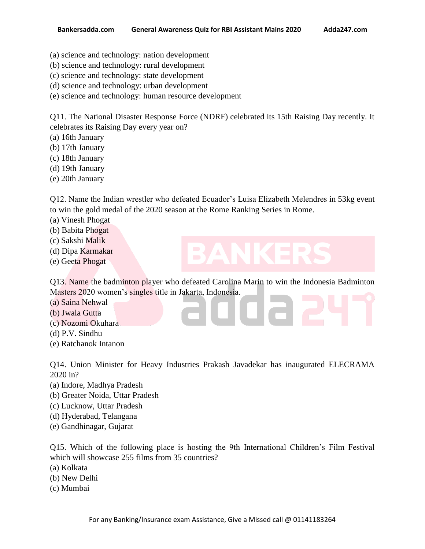- (a) science and technology: nation development
- (b) science and technology: rural development
- (c) science and technology: state development
- (d) science and technology: urban development
- (e) science and technology: human resource development

Q11. The National Disaster Response Force (NDRF) celebrated its 15th Raising Day recently. It celebrates its Raising Day every year on?

- (a) 16th January
- (b) 17th January
- (c) 18th January
- (d) 19th January
- (e) 20th January

Q12. Name the Indian wrestler who defeated Ecuador"s Luisa Elizabeth Melendres in 53kg event to win the gold medal of the 2020 season at the Rome Ranking Series in Rome.

- (a) Vinesh Phogat
- (b) Babita Phogat
- (c) Sakshi Malik
- (d) Dipa Karmakar
- (e) Geeta Phogat

Q13. Name the badminton player who defeated Carolina Marin to win the Indonesia Badminton Masters 2020 women"s singles title in Jakarta, Indonesia.

- (a) Saina Nehwal
- (b) Jwala Gutta
- (c) Nozomi Okuhara
- (d) P.V. Sindhu
- (e) Ratchanok Intanon

Q14. Union Minister for Heavy Industries Prakash Javadekar has inaugurated ELECRAMA 2020 in?

- (a) Indore, Madhya Pradesh
- (b) Greater Noida, Uttar Pradesh
- (c) Lucknow, Uttar Pradesh
- (d) Hyderabad, Telangana
- (e) Gandhinagar, Gujarat

Q15. Which of the following place is hosting the 9th International Children"s Film Festival which will showcase 255 films from 35 countries?

- (a) Kolkata
- (b) New Delhi
- (c) Mumbai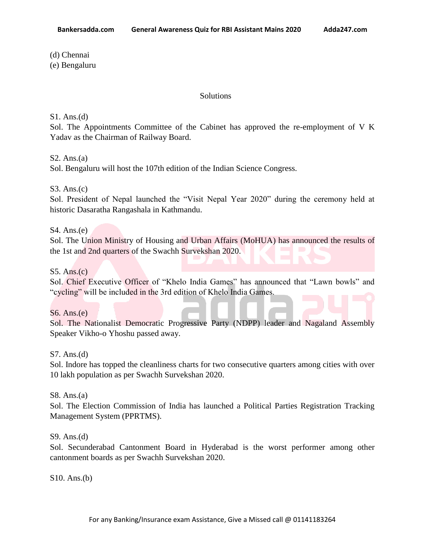(d) Chennai

(e) Bengaluru

#### Solutions

### S1. Ans.(d)

Sol. The Appointments Committee of the Cabinet has approved the re-employment of V K Yadav as the Chairman of Railway Board.

# $S2. Ans.(a)$

Sol. Bengaluru will host the 107th edition of the Indian Science Congress.

# S3. Ans.(c)

Sol. President of Nepal launched the "Visit Nepal Year 2020" during the ceremony held at historic Dasaratha Rangashala in Kathmandu.

# S4. Ans.(e)

Sol. The Union Ministry of Housing and Urban Affairs (MoHUA) has announced the results of the 1st and 2nd quarters of the Swachh Survekshan 2020.

# S5. Ans.(c)

Sol. Chief Executive Officer of "Khelo India Games" has announced that "Lawn bowls" and "cycling" will be included in the 3rd edition of Khelo India Games.

# S6. Ans.(e)

Sol. The Nationalist Democratic Progressive Party (NDPP) leader and Nagaland Assembly Speaker Vikho-o Yhoshu passed away.

#### S7. Ans.(d)

Sol. Indore has topped the cleanliness charts for two consecutive quarters among cities with over 10 lakh population as per Swachh Survekshan 2020.

#### S8. Ans.(a)

Sol. The Election Commission of India has launched a Political Parties Registration Tracking Management System (PPRTMS).

#### S9. Ans.(d)

Sol. Secunderabad Cantonment Board in Hyderabad is the worst performer among other cantonment boards as per Swachh Survekshan 2020.

S10. Ans.(b)